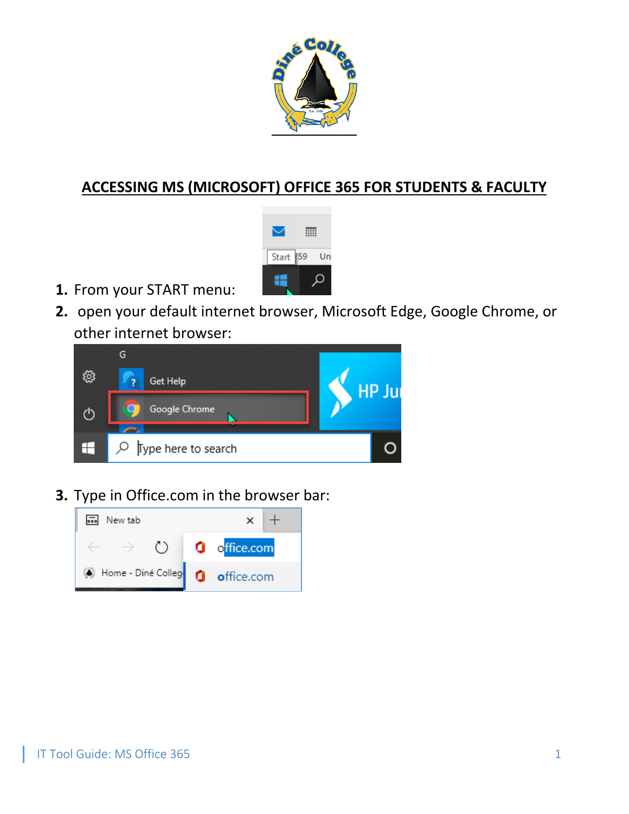

## **ACCESSING MS (MICROSOFT) OFFICE 365 FOR STUDENTS & FACULTY**



- **1.** From your START menu:
- **2.** open your default internet browser, Microsoft Edge, Google Chrome, or other internet browser:



**3.** Type in Office.com in the browser bar:

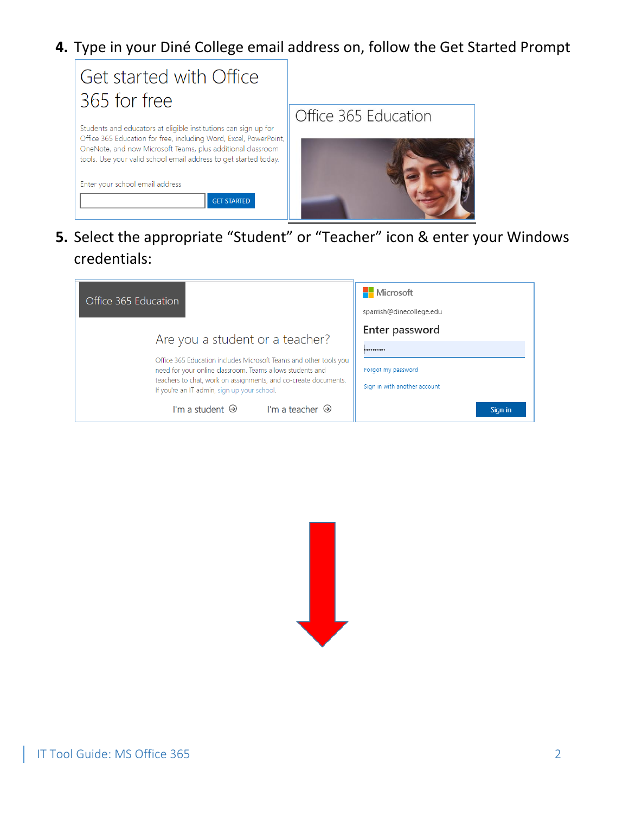**4.** Type in your Diné College email address on, follow the Get Started Prompt



**5.** Select the appropriate "Student" or "Teacher" icon & enter your Windows credentials:

| Office 365 Education                                                                                                                                                                                                                             | <b>Nicrosoft</b><br>sparrish@dinecollege.edu           |
|--------------------------------------------------------------------------------------------------------------------------------------------------------------------------------------------------------------------------------------------------|--------------------------------------------------------|
| Are you a student or a teacher?                                                                                                                                                                                                                  | Enter password                                         |
| Office 365 Education includes Microsoft Teams and other tools you<br>need for your online classroom. Teams allows students and<br>teachers to chat, work on assignments, and co-create documents.<br>If you're an IT admin, sign up your school. | <br>Forgot my password<br>Sign in with another account |
| I'm a teacher $\Theta$<br>I'm a student $\Theta$                                                                                                                                                                                                 | Sign in                                                |

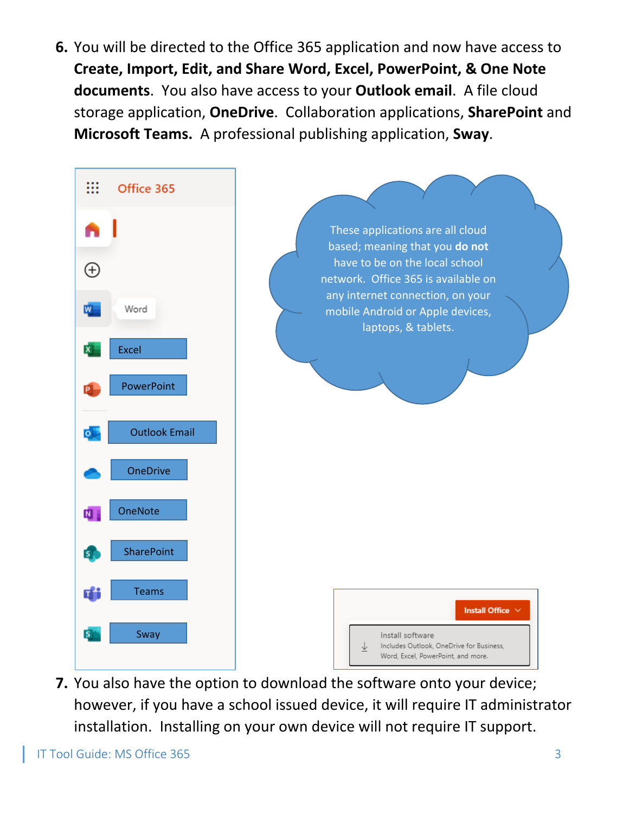**6.** You will be directed to the Office 365 application and now have access to **Create, Import, Edit, and Share Word, Excel, PowerPoint, & One Note documents**. You also have access to your **Outlook email**. A file cloud storage application, **OneDrive**. Collaboration applications, **SharePoint** and **Microsoft Teams.** A professional publishing application, **Sway**.



**7.** You also have the option to download the software onto your device; however, if you have a school issued device, it will require IT administrator installation. Installing on your own device will not require IT support.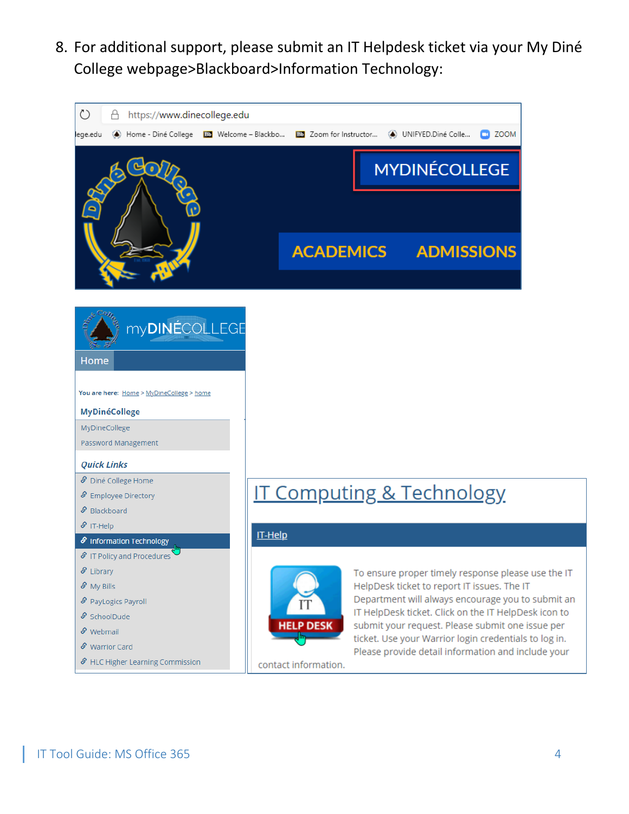8. For additional support, please submit an IT Helpdesk ticket via your My Diné College webpage>Blackboard>Information Technology: